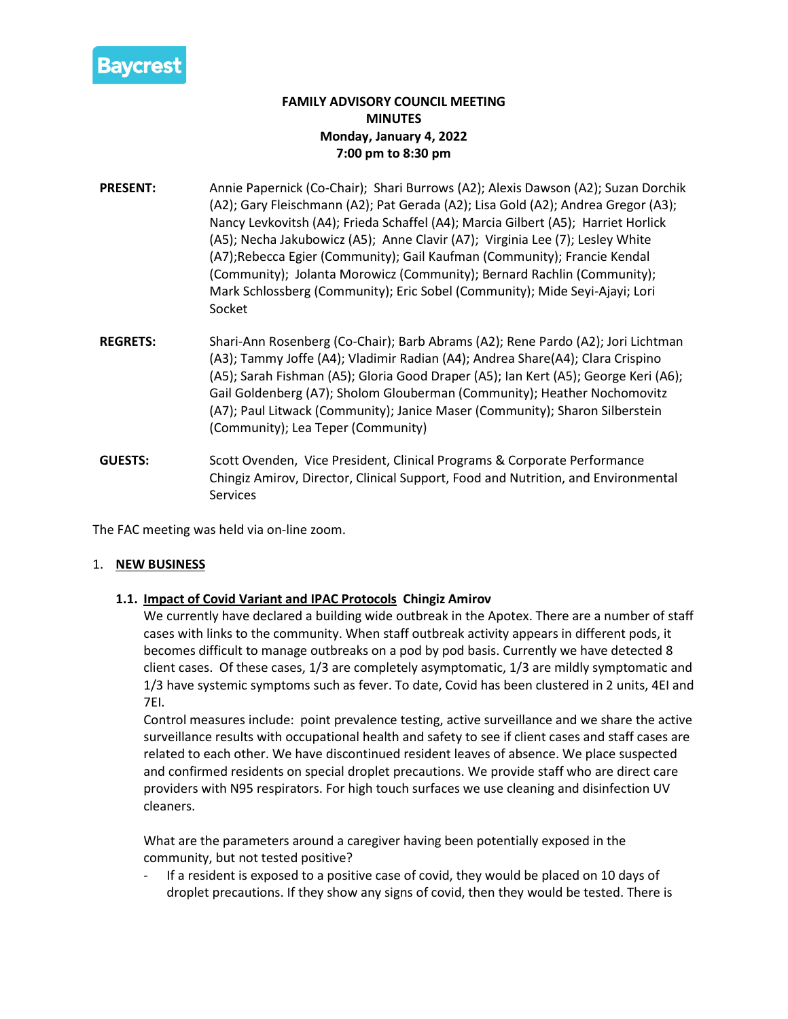

# **FAMILY ADVISORY COUNCIL MEETING MINUTES Monday, January 4, 2022 7:00 pm to 8:30 pm**

- **PRESENT:** Annie Papernick (Co-Chair); Shari Burrows (A2); Alexis Dawson (A2); Suzan Dorchik (A2); Gary Fleischmann (A2); Pat Gerada (A2); Lisa Gold (A2); Andrea Gregor (A3); Nancy Levkovitsh (A4); Frieda Schaffel (A4); Marcia Gilbert (A5); Harriet Horlick (A5); Necha Jakubowicz (A5); Anne Clavir (A7); Virginia Lee (7); Lesley White (A7);Rebecca Egier (Community); Gail Kaufman (Community); Francie Kendal (Community); Jolanta Morowicz (Community); Bernard Rachlin (Community); Mark Schlossberg (Community); Eric Sobel (Community); Mide Seyi-Ajayi; Lori Socket
- **REGRETS:** Shari-Ann Rosenberg (Co-Chair); Barb Abrams (A2); Rene Pardo (A2); Jori Lichtman (A3); Tammy Joffe (A4); Vladimir Radian (A4); Andrea Share(A4); Clara Crispino (A5); Sarah Fishman (A5); Gloria Good Draper (A5); Ian Kert (A5); George Keri (A6); Gail Goldenberg (A7); Sholom Glouberman (Community); Heather Nochomovitz (A7); Paul Litwack (Community); Janice Maser (Community); Sharon Silberstein (Community); Lea Teper (Community)
- **GUESTS:** Scott Ovenden, Vice President, Clinical Programs & Corporate Performance Chingiz Amirov, Director, Clinical Support, Food and Nutrition, and Environmental Services

The FAC meeting was held via on-line zoom.

### 1. **NEW BUSINESS**

## **1.1. Impact of Covid Variant and IPAC Protocols Chingiz Amirov**

We currently have declared a building wide outbreak in the Apotex. There are a number of staff cases with links to the community. When staff outbreak activity appears in different pods, it becomes difficult to manage outbreaks on a pod by pod basis. Currently we have detected 8 client cases. Of these cases, 1/3 are completely asymptomatic, 1/3 are mildly symptomatic and 1/3 have systemic symptoms such as fever. To date, Covid has been clustered in 2 units, 4EI and 7EI.

Control measures include: point prevalence testing, active surveillance and we share the active surveillance results with occupational health and safety to see if client cases and staff cases are related to each other. We have discontinued resident leaves of absence. We place suspected and confirmed residents on special droplet precautions. We provide staff who are direct care providers with N95 respirators. For high touch surfaces we use cleaning and disinfection UV cleaners.

What are the parameters around a caregiver having been potentially exposed in the community, but not tested positive?

If a resident is exposed to a positive case of covid, they would be placed on 10 days of droplet precautions. If they show any signs of covid, then they would be tested. There is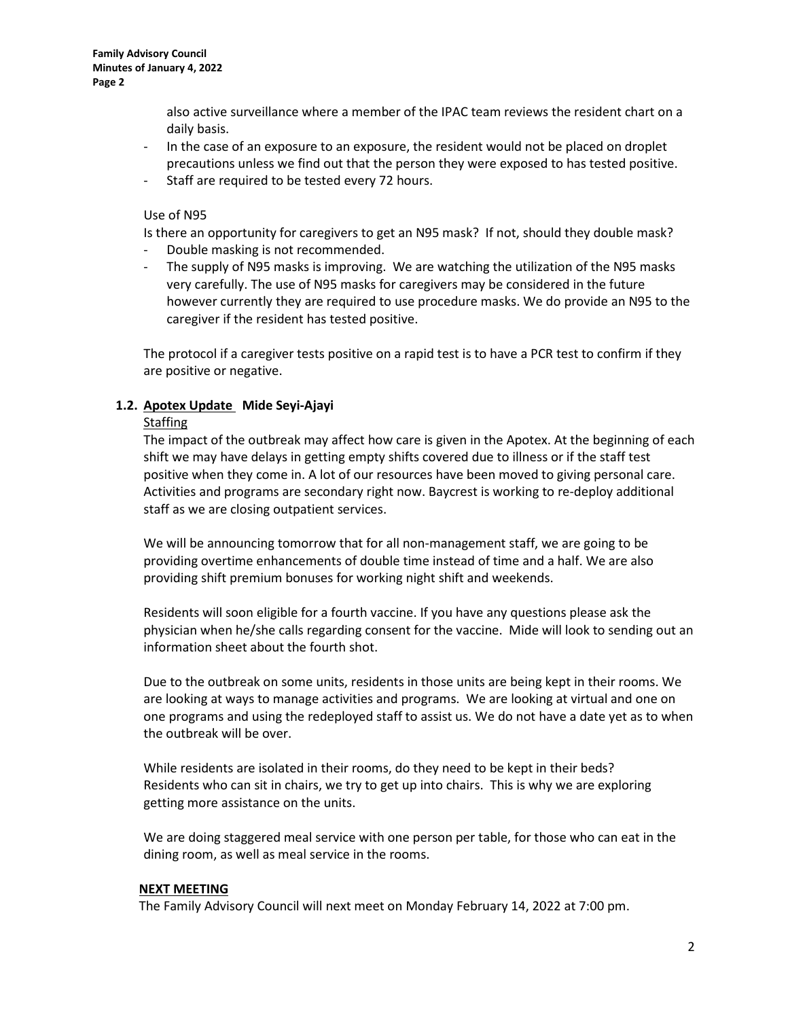also active surveillance where a member of the IPAC team reviews the resident chart on a daily basis.

- In the case of an exposure to an exposure, the resident would not be placed on droplet precautions unless we find out that the person they were exposed to has tested positive.
- Staff are required to be tested every 72 hours.

### Use of N95

Is there an opportunity for caregivers to get an N95 mask? If not, should they double mask? - Double masking is not recommended.

- The supply of N95 masks is improving. We are watching the utilization of the N95 masks very carefully. The use of N95 masks for caregivers may be considered in the future however currently they are required to use procedure masks. We do provide an N95 to the caregiver if the resident has tested positive.

The protocol if a caregiver tests positive on a rapid test is to have a PCR test to confirm if they are positive or negative.

### **1.2. Apotex Update Mide Seyi-Ajayi**

### **Staffing**

The impact of the outbreak may affect how care is given in the Apotex. At the beginning of each shift we may have delays in getting empty shifts covered due to illness or if the staff test positive when they come in. A lot of our resources have been moved to giving personal care. Activities and programs are secondary right now. Baycrest is working to re-deploy additional staff as we are closing outpatient services.

We will be announcing tomorrow that for all non-management staff, we are going to be providing overtime enhancements of double time instead of time and a half. We are also providing shift premium bonuses for working night shift and weekends.

Residents will soon eligible for a fourth vaccine. If you have any questions please ask the physician when he/she calls regarding consent for the vaccine. Mide will look to sending out an information sheet about the fourth shot.

Due to the outbreak on some units, residents in those units are being kept in their rooms. We are looking at ways to manage activities and programs. We are looking at virtual and one on one programs and using the redeployed staff to assist us. We do not have a date yet as to when the outbreak will be over.

While residents are isolated in their rooms, do they need to be kept in their beds? Residents who can sit in chairs, we try to get up into chairs. This is why we are exploring getting more assistance on the units.

We are doing staggered meal service with one person per table, for those who can eat in the dining room, as well as meal service in the rooms.

### **NEXT MEETING**

The Family Advisory Council will next meet on Monday February 14, 2022 at 7:00 pm.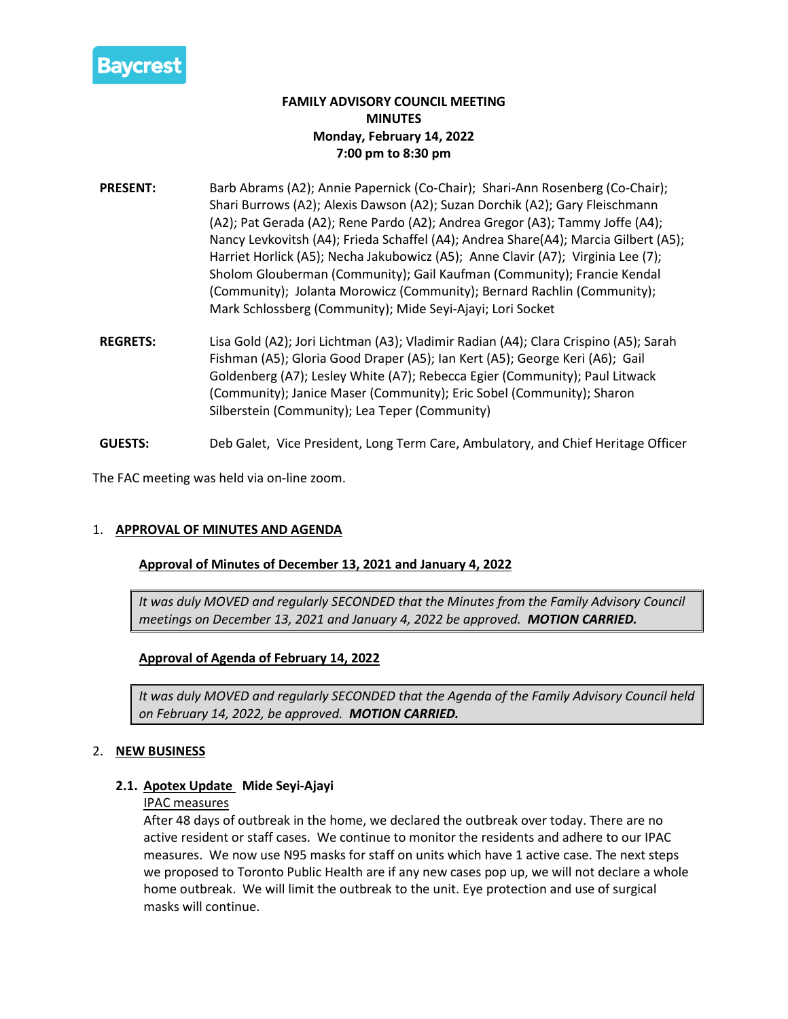

# **FAMILY ADVISORY COUNCIL MEETING MINUTES Monday, February 14, 2022 7:00 pm to 8:30 pm**

- **PRESENT:** Barb Abrams (A2); Annie Papernick (Co-Chair); Shari-Ann Rosenberg (Co-Chair); Shari Burrows (A2); Alexis Dawson (A2); Suzan Dorchik (A2); Gary Fleischmann (A2); Pat Gerada (A2); Rene Pardo (A2); Andrea Gregor (A3); Tammy Joffe (A4); Nancy Levkovitsh (A4); Frieda Schaffel (A4); Andrea Share(A4); Marcia Gilbert (A5); Harriet Horlick (A5); Necha Jakubowicz (A5); Anne Clavir (A7); Virginia Lee (7); Sholom Glouberman (Community); Gail Kaufman (Community); Francie Kendal (Community); Jolanta Morowicz (Community); Bernard Rachlin (Community); Mark Schlossberg (Community); Mide Seyi-Ajayi; Lori Socket
- **REGRETS:** Lisa Gold (A2); Jori Lichtman (A3); Vladimir Radian (A4); Clara Crispino (A5); Sarah Fishman (A5); Gloria Good Draper (A5); Ian Kert (A5); George Keri (A6); Gail Goldenberg (A7); Lesley White (A7); Rebecca Egier (Community); Paul Litwack (Community); Janice Maser (Community); Eric Sobel (Community); Sharon Silberstein (Community); Lea Teper (Community)
- **GUESTS:** Deb Galet, Vice President, Long Term Care, Ambulatory, and Chief Heritage Officer

The FAC meeting was held via on-line zoom.

## 1. **APPROVAL OF MINUTES AND AGENDA**

### **Approval of Minutes of December 13, 2021 and January 4, 2022**

*It was duly MOVED and regularly SECONDED that the Minutes from the Family Advisory Council meetings on December 13, 2021 and January 4, 2022 be approved. MOTION CARRIED.*

### **Approval of Agenda of February 14, 2022**

*It was duly MOVED and regularly SECONDED that the Agenda of the Family Advisory Council held on February 14, 2022, be approved. MOTION CARRIED.*

### 2. **NEW BUSINESS**

### **2.1. Apotex Update Mide Seyi-Ajayi**

### IPAC measures

After 48 days of outbreak in the home, we declared the outbreak over today. There are no active resident or staff cases. We continue to monitor the residents and adhere to our IPAC measures. We now use N95 masks for staff on units which have 1 active case. The next steps we proposed to Toronto Public Health are if any new cases pop up, we will not declare a whole home outbreak. We will limit the outbreak to the unit. Eye protection and use of surgical masks will continue.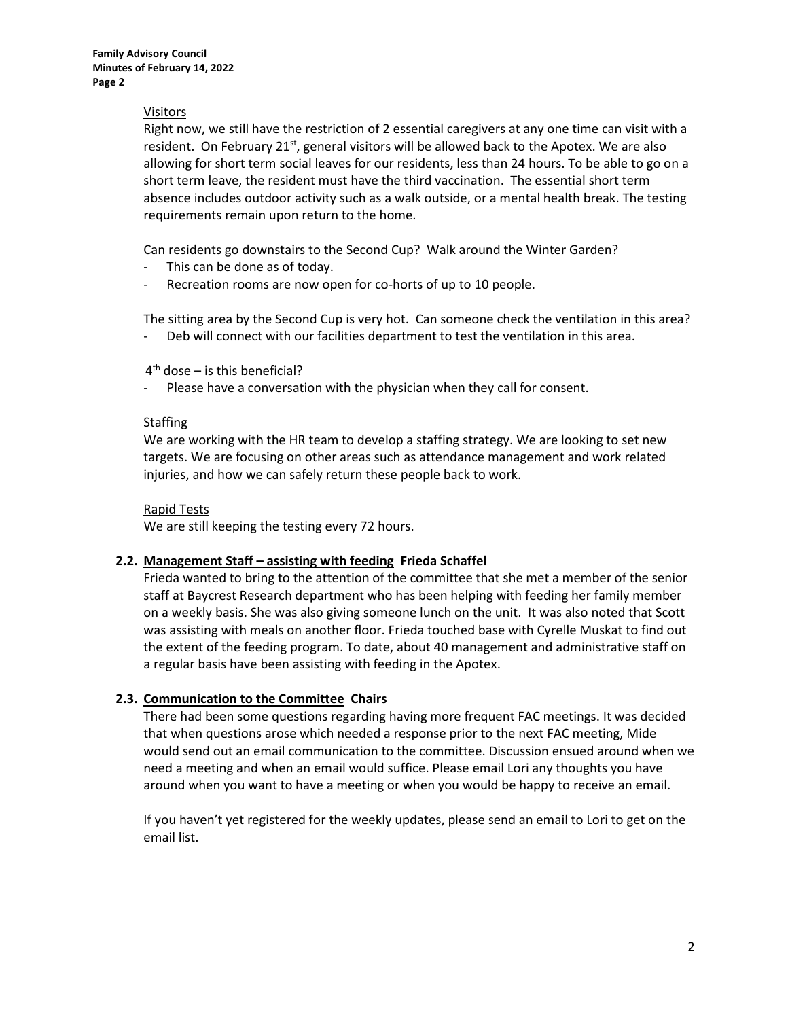### Visitors

Right now, we still have the restriction of 2 essential caregivers at any one time can visit with a resident. On February 21 $st$ , general visitors will be allowed back to the Apotex. We are also allowing for short term social leaves for our residents, less than 24 hours. To be able to go on a short term leave, the resident must have the third vaccination. The essential short term absence includes outdoor activity such as a walk outside, or a mental health break. The testing requirements remain upon return to the home.

Can residents go downstairs to the Second Cup? Walk around the Winter Garden?

- This can be done as of today.
- Recreation rooms are now open for co-horts of up to 10 people.

The sitting area by the Second Cup is very hot. Can someone check the ventilation in this area? Deb will connect with our facilities department to test the ventilation in this area.

 $4<sup>th</sup>$  dose – is this beneficial?

Please have a conversation with the physician when they call for consent.

### **Staffing**

We are working with the HR team to develop a staffing strategy. We are looking to set new targets. We are focusing on other areas such as attendance management and work related injuries, and how we can safely return these people back to work.

### Rapid Tests

We are still keeping the testing every 72 hours.

### **2.2. Management Staff – assisting with feeding Frieda Schaffel**

Frieda wanted to bring to the attention of the committee that she met a member of the senior staff at Baycrest Research department who has been helping with feeding her family member on a weekly basis. She was also giving someone lunch on the unit. It was also noted that Scott was assisting with meals on another floor. Frieda touched base with Cyrelle Muskat to find out the extent of the feeding program. To date, about 40 management and administrative staff on a regular basis have been assisting with feeding in the Apotex.

## **2.3. Communication to the Committee Chairs**

There had been some questions regarding having more frequent FAC meetings. It was decided that when questions arose which needed a response prior to the next FAC meeting, Mide would send out an email communication to the committee. Discussion ensued around when we need a meeting and when an email would suffice. Please email Lori any thoughts you have around when you want to have a meeting or when you would be happy to receive an email.

If you haven't yet registered for the weekly updates, please send an email to Lori to get on the email list.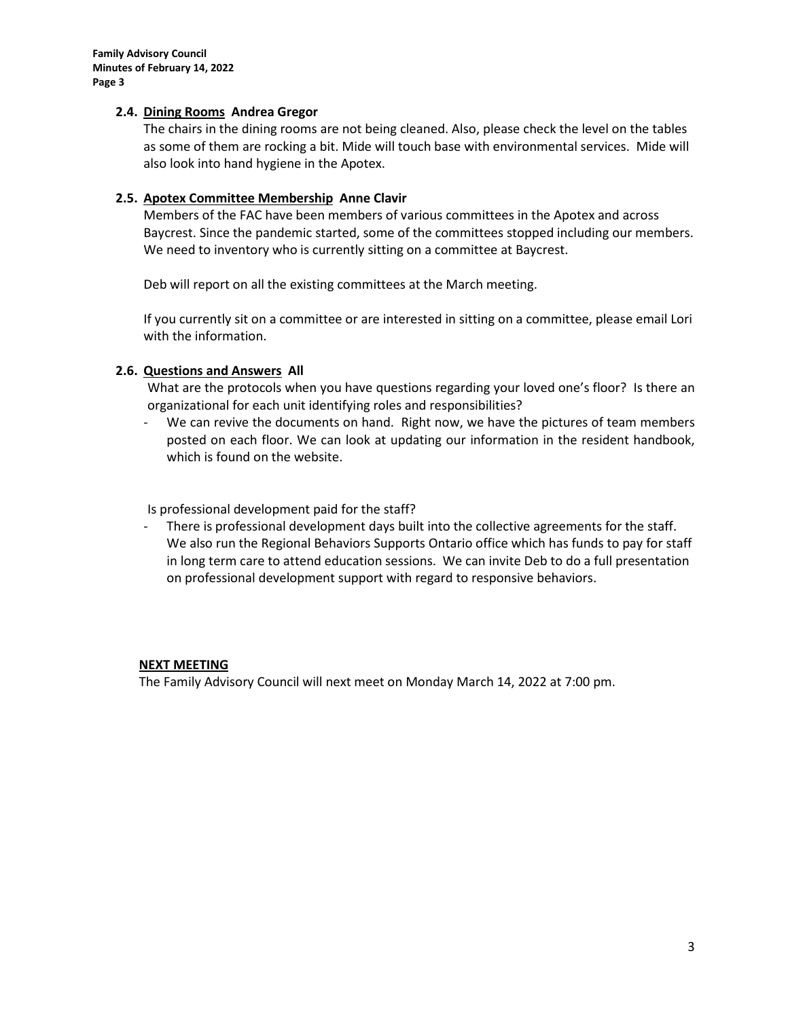**Family Advisory Council Minutes of February 14, 2022 Page 3**

### **2.4. Dining Rooms Andrea Gregor**

The chairs in the dining rooms are not being cleaned. Also, please check the level on the tables as some of them are rocking a bit. Mide will touch base with environmental services. Mide will also look into hand hygiene in the Apotex.

### **2.5. Apotex Committee Membership Anne Clavir**

Members of the FAC have been members of various committees in the Apotex and across Baycrest. Since the pandemic started, some of the committees stopped including our members. We need to inventory who is currently sitting on a committee at Baycrest.

Deb will report on all the existing committees at the March meeting.

If you currently sit on a committee or are interested in sitting on a committee, please email Lori with the information.

## **2.6. Questions and Answers All**

What are the protocols when you have questions regarding your loved one's floor? Is there an organizational for each unit identifying roles and responsibilities?

We can revive the documents on hand. Right now, we have the pictures of team members posted on each floor. We can look at updating our information in the resident handbook, which is found on the website.

Is professional development paid for the staff?

- There is professional development days built into the collective agreements for the staff. We also run the Regional Behaviors Supports Ontario office which has funds to pay for staff in long term care to attend education sessions. We can invite Deb to do a full presentation on professional development support with regard to responsive behaviors.

### **NEXT MEETING**

The Family Advisory Council will next meet on Monday March 14, 2022 at 7:00 pm.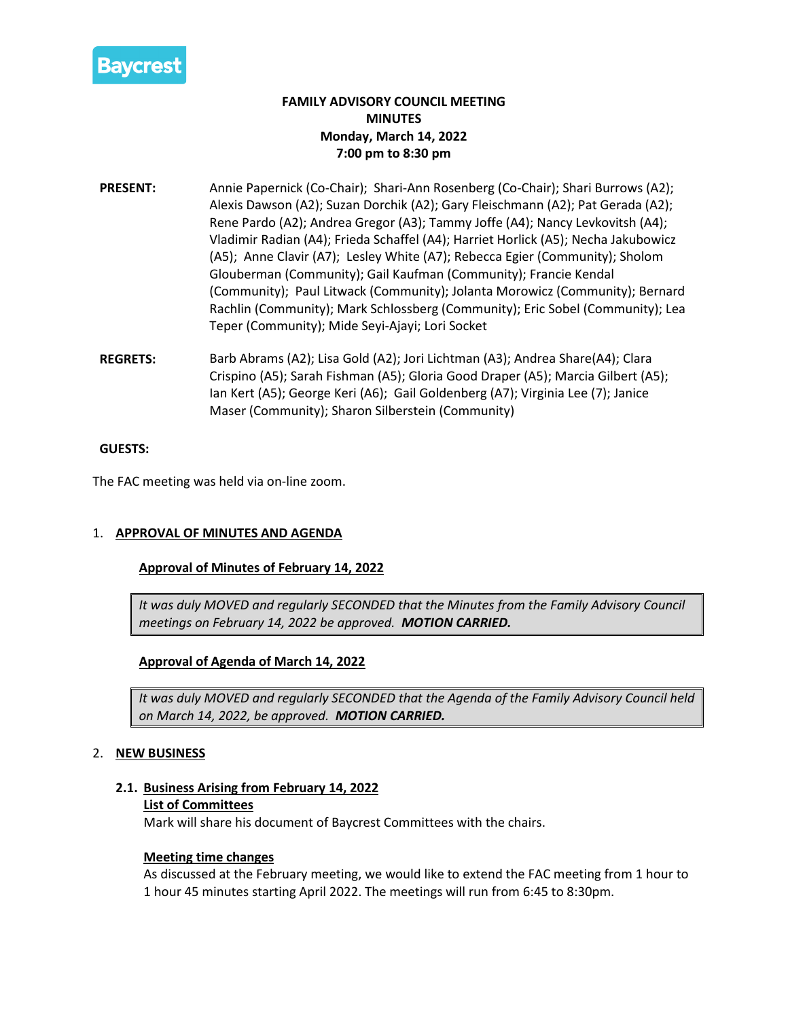

# **FAMILY ADVISORY COUNCIL MEETING MINUTES Monday, March 14, 2022 7:00 pm to 8:30 pm**

- **PRESENT:** Annie Papernick (Co-Chair); Shari-Ann Rosenberg (Co-Chair); Shari Burrows (A2); Alexis Dawson (A2); Suzan Dorchik (A2); Gary Fleischmann (A2); Pat Gerada (A2); Rene Pardo (A2); Andrea Gregor (A3); Tammy Joffe (A4); Nancy Levkovitsh (A4); Vladimir Radian (A4); Frieda Schaffel (A4); Harriet Horlick (A5); Necha Jakubowicz (A5); Anne Clavir (A7); Lesley White (A7); Rebecca Egier (Community); Sholom Glouberman (Community); Gail Kaufman (Community); Francie Kendal (Community); Paul Litwack (Community); Jolanta Morowicz (Community); Bernard Rachlin (Community); Mark Schlossberg (Community); Eric Sobel (Community); Lea Teper (Community); Mide Seyi-Ajayi; Lori Socket
- **REGRETS:** Barb Abrams (A2); Lisa Gold (A2); Jori Lichtman (A3); Andrea Share(A4); Clara Crispino (A5); Sarah Fishman (A5); Gloria Good Draper (A5); Marcia Gilbert (A5); Ian Kert (A5); George Keri (A6); Gail Goldenberg (A7); Virginia Lee (7); Janice Maser (Community); Sharon Silberstein (Community)

### **GUESTS:**

The FAC meeting was held via on-line zoom.

## 1. **APPROVAL OF MINUTES AND AGENDA**

### **Approval of Minutes of February 14, 2022**

*It was duly MOVED and regularly SECONDED that the Minutes from the Family Advisory Council meetings on February 14, 2022 be approved. MOTION CARRIED.*

## **Approval of Agenda of March 14, 2022**

*It was duly MOVED and regularly SECONDED that the Agenda of the Family Advisory Council held on March 14, 2022, be approved. MOTION CARRIED.*

## 2. **NEW BUSINESS**

**2.1. Business Arising from February 14, 2022**

### **List of Committees**

Mark will share his document of Baycrest Committees with the chairs.

### **Meeting time changes**

As discussed at the February meeting, we would like to extend the FAC meeting from 1 hour to 1 hour 45 minutes starting April 2022. The meetings will run from 6:45 to 8:30pm.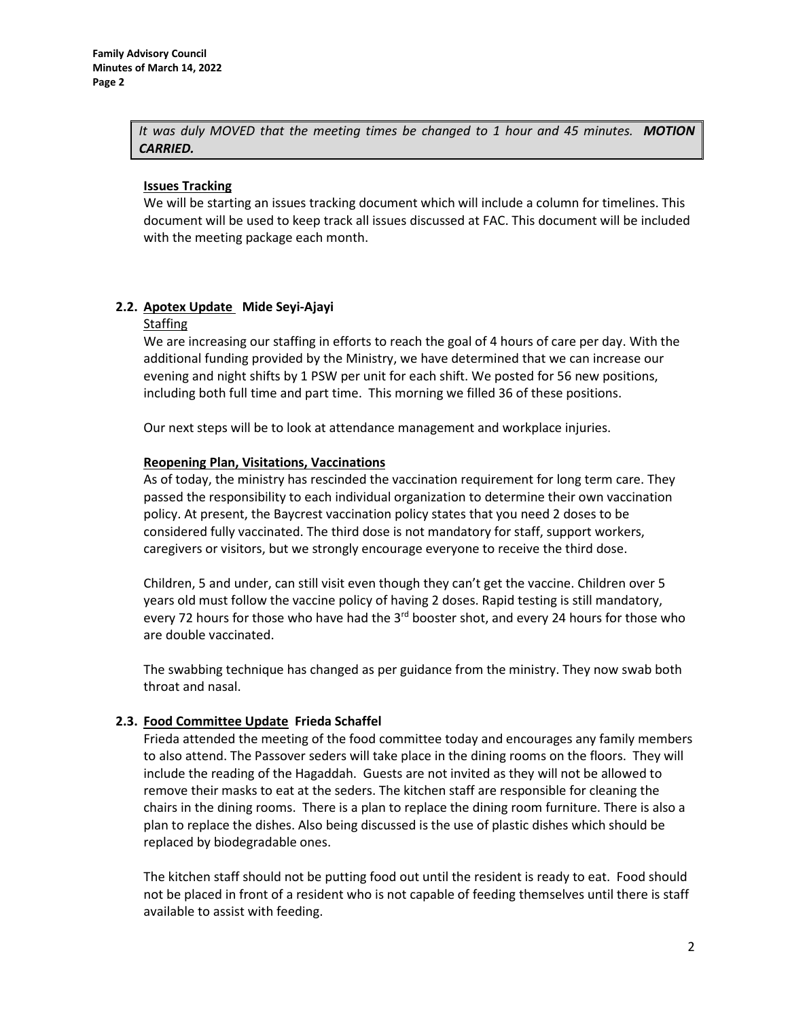*It was duly MOVED that the meeting times be changed to 1 hour and 45 minutes. MOTION CARRIED.*

### **Issues Tracking**

We will be starting an issues tracking document which will include a column for timelines. This document will be used to keep track all issues discussed at FAC. This document will be included with the meeting package each month.

# **2.2. Apotex Update Mide Seyi-Ajayi**

### Staffing

We are increasing our staffing in efforts to reach the goal of 4 hours of care per day. With the additional funding provided by the Ministry, we have determined that we can increase our evening and night shifts by 1 PSW per unit for each shift. We posted for 56 new positions, including both full time and part time. This morning we filled 36 of these positions.

Our next steps will be to look at attendance management and workplace injuries.

### **Reopening Plan, Visitations, Vaccinations**

As of today, the ministry has rescinded the vaccination requirement for long term care. They passed the responsibility to each individual organization to determine their own vaccination policy. At present, the Baycrest vaccination policy states that you need 2 doses to be considered fully vaccinated. The third dose is not mandatory for staff, support workers, caregivers or visitors, but we strongly encourage everyone to receive the third dose.

Children, 5 and under, can still visit even though they can't get the vaccine. Children over 5 years old must follow the vaccine policy of having 2 doses. Rapid testing is still mandatory, every 72 hours for those who have had the  $3^{rd}$  booster shot, and every 24 hours for those who are double vaccinated.

The swabbing technique has changed as per guidance from the ministry. They now swab both throat and nasal.

## **2.3. Food Committee Update Frieda Schaffel**

Frieda attended the meeting of the food committee today and encourages any family members to also attend. The Passover seders will take place in the dining rooms on the floors. They will include the reading of the Hagaddah. Guests are not invited as they will not be allowed to remove their masks to eat at the seders. The kitchen staff are responsible for cleaning the chairs in the dining rooms. There is a plan to replace the dining room furniture. There is also a plan to replace the dishes. Also being discussed is the use of plastic dishes which should be replaced by biodegradable ones.

The kitchen staff should not be putting food out until the resident is ready to eat. Food should not be placed in front of a resident who is not capable of feeding themselves until there is staff available to assist with feeding.